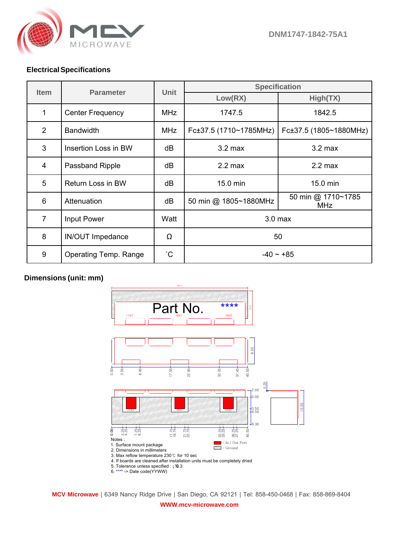

## **Electrical Specifications**

| <b>Item</b>    | <b>Parameter</b>        | Unit        | <b>Specification</b>   |                                  |
|----------------|-------------------------|-------------|------------------------|----------------------------------|
|                |                         |             | Low(RX)                | High(TX)                         |
| 1              | <b>Center Frequency</b> | <b>MHz</b>  | 1747.5                 | 1842.5                           |
| $\overline{2}$ | <b>Bandwidth</b>        | <b>MHz</b>  | Fc±37.5 (1710~1785MHz) | Fc±37.5 (1805~1880MHz)           |
| 3              | Insertion Loss in BW    | dB          | $3.2 \text{ max}$      | $3.2$ max                        |
| 4              | Passband Ripple         | dB          | $2.2 \text{ max}$      | $2.2 \text{ max}$                |
| 5              | Return Loss in BW       | dB          | 15.0 min               | 15.0 min                         |
| 6              | Attenuation             | dB          | 50 min @ 1805~1880MHz  | 50 min @ 1710~1785<br><b>MHz</b> |
| $\overline{7}$ | <b>Input Power</b>      | Watt        | 3.0 <sub>max</sub>     |                                  |
| 8              | <b>IN/OUT Impedance</b> | Ω           | 50                     |                                  |
| 9              | Operating Temp. Range   | $^{\circ}C$ | $-40 \sim +85$         |                                  |

## **Dimensions (unit: mm)**



**MCV Microwave** | 6349 Nancy Ridge Drive | San Diego, CA 92121 | Tel: 858-450-0468 | Fax: 858-869-8404 **WWW.mcv-microwave.com**